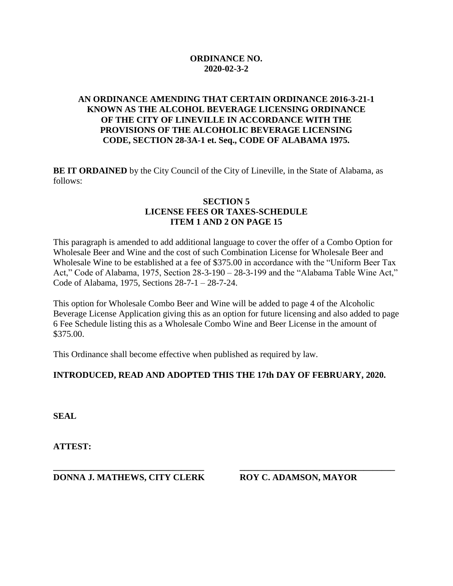# **ORDINANCE NO. 2020-02-3-2**

# **AN ORDINANCE AMENDING THAT CERTAIN ORDINANCE 2016-3-21-1 KNOWN AS THE ALCOHOL BEVERAGE LICENSING ORDINANCE OF THE CITY OF LINEVILLE IN ACCORDANCE WITH THE PROVISIONS OF THE ALCOHOLIC BEVERAGE LICENSING CODE, SECTION 28-3A-1 et. Seq., CODE OF ALABAMA 1975.**

**BE IT ORDAINED** by the City Council of the City of Lineville, in the State of Alabama, as follows:

#### **SECTION 5 LICENSE FEES OR TAXES-SCHEDULE ITEM 1 AND 2 ON PAGE 15**

This paragraph is amended to add additional language to cover the offer of a Combo Option for Wholesale Beer and Wine and the cost of such Combination License for Wholesale Beer and Wholesale Wine to be established at a fee of \$375.00 in accordance with the "Uniform Beer Tax Act," Code of Alabama, 1975, Section 28-3-190 – 28-3-199 and the "Alabama Table Wine Act," Code of Alabama, 1975, Sections 28-7-1 – 28-7-24.

This option for Wholesale Combo Beer and Wine will be added to page 4 of the Alcoholic Beverage License Application giving this as an option for future licensing and also added to page 6 Fee Schedule listing this as a Wholesale Combo Wine and Beer License in the amount of \$375.00.

This Ordinance shall become effective when published as required by law.

# **INTRODUCED, READ AND ADOPTED THIS THE 17th DAY OF FEBRUARY, 2020.**

**SEAL**

**ATTEST:**

**DONNA J. MATHEWS, CITY CLERK ROY C. ADAMSON, MAYOR**

**\_\_\_\_\_\_\_\_\_\_\_\_\_\_\_\_\_\_\_\_\_\_\_\_\_\_\_\_\_\_\_\_\_\_ \_\_\_\_\_\_\_\_\_\_\_\_\_\_\_\_\_\_\_\_\_\_\_\_\_\_\_\_\_\_\_\_\_\_\_**